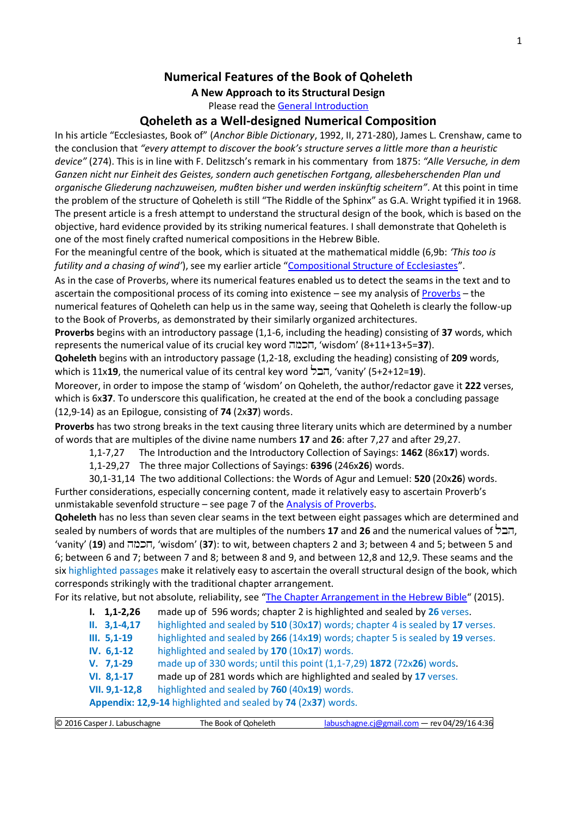# **Numerical Features of the Book of Qoheleth**

**A New Approach to its Structural Design**

Please read the [General Introduction](http://www.labuschagne.nl/aspects.pdf)

## **Qoheleth as a Well-designed Numerical Composition**

In his article "Ecclesiastes, Book of" (*Anchor Bible Dictionary*, 1992, II, 271-280), James L. Crenshaw, came to the conclusion that *"every attempt to discover the book's structure serves a little more than a heuristic device"* (274). This is in line with F. Delitzsch's remark in his commentary from 1875: *"Alle Versuche, in dem Ganzen nicht nur Einheit des Geistes, sondern auch genetischen Fortgang, allesbeherschenden Plan und organische Gliederung nachzuweisen, muβten bisher und werden inskünftig scheitern"*. At this point in time the problem of the structure of Qoheleth is still "The Riddle of the Sphinx" as G.A. Wright typified it in 1968. The present article is a fresh attempt to understand the structural design of the book, which is based on the objective, hard evidence provided by its striking numerical features. I shall demonstrate that Qoheleth is one of the most finely crafted numerical compositions in the Hebrew Bible.

For the meaningful centre of the book, which is situated at the mathematical middle (6,9b: *'This too is futility and a chasing of wind'*), see my earlier article "[Compositional Structure of Ecclesiastes](http://www.labuschagne.nl/17.ecclesiastes.structure.pdf)".

As in the case of Proverbs, where its numerical features enabled us to detect the seams in the text and to ascertain the compositional process of its coming into existence – see my analysis o[f Proverbs](http://www.labuschagne.nl/ketubim/Bookofproverbs.pdf) – the numerical features of Qoheleth can help us in the same way, seeing that Qoheleth is clearly the follow-up to the Book of Proverbs, as demonstrated by their similarly organized architectures.

**Proverbs** begins with an introductory passage (1,1-6, including the heading) consisting of **37** words, which represents the numerical value of its crucial key word hmkx, 'wisdom' (8+11+13+5=**37**).

**Qoheleth** begins with an introductory passage (1,2-18, excluding the heading) consisting of **209** words, which is 11x**19**, the numerical value of its central key word  $\overline{z}$ , 'vanity' (5+2+12=19).

Moreover, in order to impose the stamp of 'wisdom' on Qoheleth, the author/redactor gave it **222** verses, which is 6x**37**. To underscore this qualification, he created at the end of the book a concluding passage (12,9-14) as an Epilogue, consisting of **74** (2x**37**) words.

**Proverbs** has two strong breaks in the text causing three literary units which are determined by a number of words that are multiples of the divine name numbers **17** and **26**: after 7,27 and after 29,27.

1,1-7,27 The Introduction and the Introductory Collection of Sayings: **1462** (86x**17**) words.

1,1-29,27 The three major Collections of Sayings: **6396** (246x**26**) words.

30,1-31,14 The two additional Collections: the Words of Agur and Lemuel: **520** (20x**26**) words. Further considerations, especially concerning content, made it relatively easy to ascertain Proverb's unmistakable sevenfold structure – see page 7 of the [Analysis of Proverbs.](http://www.labuschagne.nl/ketubim/Bookofproverbs.pdf)

**Qoheleth** has no less than seven clear seams in the text between eight passages which are determined and sealed by numbers of words that are multiples of the numbers **17** and **26** and the numerical values of , 'vanity' (**19**) and הכמה, 'wisdom' (**37**): to wit, between chapters 2 and 3; between 4 and 5; between 5 and 6; between 6 and 7; between 7 and 8; between 8 and 9, and between 12,8 and 12,9. These seams and the six highlighted passages make it relatively easy to ascertain the overall structural design of the book, which corresponds strikingly with the traditional chapter arrangement.

For its relative, but not absolute, reliability, see "[The Chapter Arrangement in the Hebrew Bible](http://www.labuschagne.nl/articles/ChapterArrangement.pdf)" (2015).

|  | $1, 1, 1-2, 26$ |  |  |  | made up of 596 words; chapter 2 is highlighted and sealed by 26 verses. |
|--|-----------------|--|--|--|-------------------------------------------------------------------------|
|--|-----------------|--|--|--|-------------------------------------------------------------------------|

- **II. 3,1-4,17** highlighted and sealed by **510** (30x**17**) words; chapter 4 is sealed by **17** verses.
- **III. 5,1-19** highlighted and sealed by **266** (14x**19**) words; chapter 5 is sealed by **19** verses.
- **IV. 6,1-12** highlighted and sealed by **170** (10x**17**) words.
- **V. 7,1-29** made up of 330 words; until this point (1,1-7,29) **1872** (72x**26**) words.
- **VI. 8,1-17** made up of 281 words which are highlighted and sealed by **17** verses.
- **VII. 9,1-12,8** highlighted and sealed by **760** (40x**19**) words.

**Appendix: 12,9-14** highlighted and sealed by **74** (2x**37**) words.

| © 2016 Casper J. Labuschagne | The Book of Qoheleth | labuschagne.cj@gmail.com - rev 04/29/16 4:36 |
|------------------------------|----------------------|----------------------------------------------|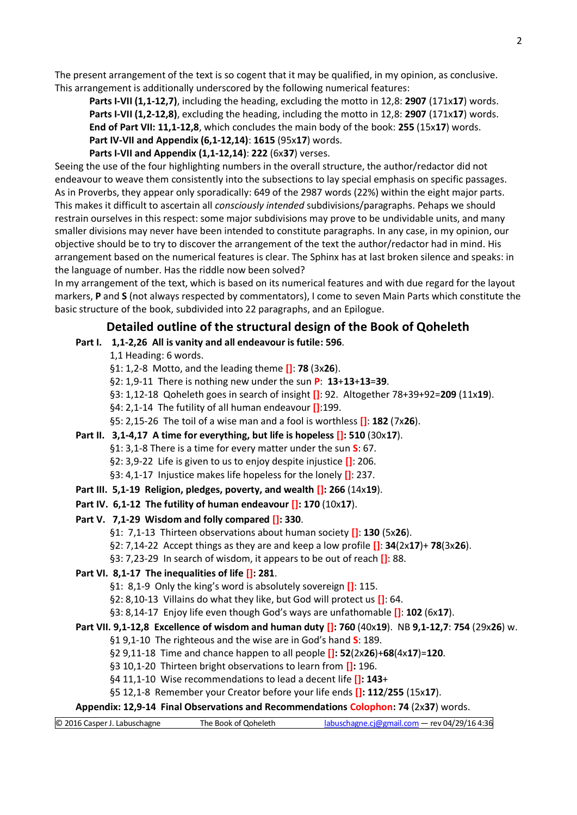The present arrangement of the text is so cogent that it may be qualified, in my opinion, as conclusive. This arrangement is additionally underscored by the following numerical features:

**Parts I-VII (1,1-12,7)**, including the heading, excluding the motto in 12,8: **2907** (171x**17**) words. **Parts I-VII (1,2-12,8)**, excluding the heading, including the motto in 12,8: **2907** (171x**17**) words. **End of Part VII: 11,1-12,8**, which concludes the main body of the book: **255** (15x**17**) words. **Part IV-VII and Appendix (6,1-12,14)**: **1615** (95x**17**) words.

**Parts I-VII and Appendix (1,1-12,14)**: **222** (6x**37**) verses.

Seeing the use of the four highlighting numbers in the overall structure, the author/redactor did not endeavour to weave them consistently into the subsections to lay special emphasis on specific passages. As in Proverbs, they appear only sporadically: 649 of the 2987 words (22%) within the eight major parts. This makes it difficult to ascertain all *consciously intended* subdivisions/paragraphs. Pehaps we should restrain ourselves in this respect: some major subdivisions may prove to be undividable units, and many smaller divisions may never have been intended to constitute paragraphs. In any case, in my opinion, our objective should be to try to discover the arrangement of the text the author/redactor had in mind. His arrangement based on the numerical features is clear. The Sphinx has at last broken silence and speaks: in the language of number. Has the riddle now been solved?

In my arrangement of the text, which is based on its numerical features and with due regard for the layout markers, **P** and **S** (not always respected by commentators), I come to seven Main Parts which constitute the basic structure of the book, subdivided into 22 paragraphs, and an Epilogue.

# **Detailed outline of the structural design of the Book of Qoheleth**

**Part I. 1,1-2,26 All is vanity and all endeavour is futile: 596**.

1,1 Heading: 6 words.

- §1: 1,2-8 Motto, and the leading theme **[]**: **78** (3x**26**).
- §2: 1,9-11 There is nothing new under the sun **P**: **13**+**13**+**13**=**39**.
- §3: 1,12-18 Qoheleth goes in search of insight **[]**: 92. Altogether 78+39+92=**209** (11x**19**).

§4: 2,1-14 The futility of all human endeavour **[]**:199.

§5: 2,15-26 The toil of a wise man and a fool is worthless **[]**: **182** (7x**26**).

- **Part II. 3,1-4,17 A time for everything, but life is hopeless []: 510** (30x**17**). §1: 3,1-8 There is a time for every matter under the sun **S**: 67. §2: 3,9-22 Life is given to us to enjoy despite injustice **[]**: 206. §3: 4,1-17 Injustice makes life hopeless for the lonely **[]**: 237.
- **Part III. 5,1-19 Religion, pledges, poverty, and wealth []: 266** (14x**19**).
- **Part IV. 6,1-12 The futility of human endeavour []: 170** (10x**17**).
- **Part V. 7,1-29 Wisdom and folly compared []: 330**.
	- §1: 7,1-13 Thirteen observations about human society **[]**: **130** (5x**26**).
	- §2: 7,14-22 Accept things as they are and keep a low profile **[]**: **34**(2x**17**)+ **78**(3x**26**).

§3: 7,23-29 In search of wisdom, it appears to be out of reach **[]**: 88.

- **Part VI. 8,1-17 The inequalities of life []: 281**.
	- §1: 8,1-9 Only the king's word is absolutely sovereign **[]**: 115.
	- §2: 8,10-13 Villains do what they like, but God will protect us **[]**: 64.

§3: 8,14-17 Enjoy life even though God's ways are unfathomable **[]**: **102** (6x**17**).

**Part VII. 9,1-12,8 Excellence of wisdom and human duty []: 760** (40x**19**). NB **9,1-12,7**: **754** (29x**26**) w.

## §1 9,1-10 The righteous and the wise are in God's hand **S**: 189.

- §2 9,11-18 Time and chance happen to all people **[]: 52**(2x**26**)+**68**(4x**17**)=**120**.
- §3 10,1-20 Thirteen bright observations to learn from **[]:** 196.
- §4 11,1-10 Wise recommendations to lead a decent life **[]: 143**+
- §5 12,1-8 Remember your Creator before your life ends **[]: 112**/**255** (15x**17**).

**Appendix: 12,9-14 Final Observations and Recommendations Colophon: 74** (2x**37**) words.

| © 2016 Casper J. Labuschagne | The Book of Qoheleth | labuschagne.cj@gmail.com — rev 04/29/16 4:36 |
|------------------------------|----------------------|----------------------------------------------|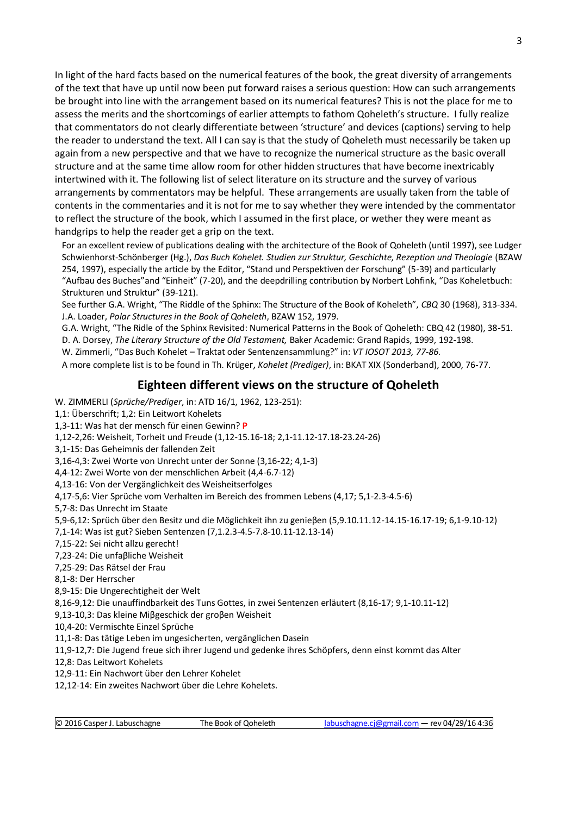In light of the hard facts based on the numerical features of the book, the great diversity of arrangements of the text that have up until now been put forward raises a serious question: How can such arrangements be brought into line with the arrangement based on its numerical features? This is not the place for me to assess the merits and the shortcomings of earlier attempts to fathom Qoheleth's structure. I fully realize that commentators do not clearly differentiate between 'structure' and devices (captions) serving to help the reader to understand the text. All I can say is that the study of Qoheleth must necessarily be taken up again from a new perspective and that we have to recognize the numerical structure as the basic overall structure and at the same time allow room for other hidden structures that have become inextricably intertwined with it. The following list of select literature on its structure and the survey of various arrangements by commentators may be helpful. These arrangements are usually taken from the table of contents in the commentaries and it is not for me to say whether they were intended by the commentator to reflect the structure of the book, which I assumed in the first place, or wether they were meant as handgrips to help the reader get a grip on the text.

For an excellent review of publications dealing with the architecture of the Book of Qoheleth (until 1997), see Ludger Schwienhorst-Schönberger (Hg.), *Das Buch Kohelet. Studien zur Struktur, Geschichte, Rezeption und Theologie* (BZAW 254, 1997), especially the article by the Editor, "Stand und Perspektiven der Forschung" (5-39) and particularly "Aufbau des Buches"and "Einheit" (7-20), and the deepdrilling contribution by Norbert Lohfink, "Das Koheletbuch: Strukturen und Struktur" (39-121).

See further G.A. Wright, "The Riddle of the Sphinx: The Structure of the Book of Koheleth", *CBQ* 30 (1968), 313-334. J.A. Loader, *Polar Structures in the Book of Qoheleth*, BZAW 152, 1979.

G.A. Wright, "The Ridle of the Sphinx Revisited: Numerical Patterns in the Book of Qoheleth: CBQ 42 (1980), 38-51.

D. A. Dorsey, *The Literary Structure of the Old Testament,* Baker Academic: Grand Rapids, 1999, 192-198.

W. Zimmerli, "Das Buch Kohelet – Traktat oder Sentenzensammlung?" in: *VT IOSOT 2013, 77-86.*

A more complete list is to be found in Th. Krüger, *Kohelet (Prediger)*, in: BKAT XIX (Sonderband), 2000, 76-77.

## **Eighteen different views on the structure of Qoheleth**

- W. ZIMMERLI (*Sprüche/Prediger*, in: ATD 16/1, 1962, 123-251):
- 1,1: Überschrift; 1,2: Ein Leitwort Kohelets
- 1,3-11: Was hat der mensch für einen Gewinn? **P**
- 1,12-2,26: Weisheit, Torheit und Freude (1,12-15.16-18; 2,1-11.12-17.18-23.24-26)
- 3,1-15: Das Geheimnis der fallenden Zeit
- 3,16-4,3: Zwei Worte von Unrecht unter der Sonne (3,16-22; 4,1-3)
- 4,4-12: Zwei Worte von der menschlichen Arbeit (4,4-6.7-12)
- 4,13-16: Von der Vergänglichkeit des Weisheitserfolges
- 4,17-5,6: Vier Sprüche vom Verhalten im Bereich des frommen Lebens (4,17; 5,1-2.3-4.5-6)
- 5,7-8: Das Unrecht im Staate

5,9-6,12: Sprüch über den Besitz und die Möglichkeit ihn zu genieβen (5,9.10.11.12-14.15-16.17-19; 6,1-9.10-12)

- 7,1-14: Was ist gut? Sieben Sentenzen (7,1.2.3-4.5-7.8-10.11-12.13-14)
- 7,15-22: Sei nicht allzu gerecht!
- 7,23-24: Die unfaβliche Weisheit
- 7,25-29: Das Rätsel der Frau
- 8,1-8: Der Herrscher
- 8,9-15: Die Ungerechtigheit der Welt
- 8,16-9,12: Die unauffindbarkeit des Tuns Gottes, in zwei Sentenzen erläutert (8,16-17; 9,1-10.11-12)
- 9,13-10,3: Das kleine Miβgeschick der groβen Weisheit
- 10,4-20: Vermischte Einzel Sprüche
- 11,1-8: Das tätige Leben im ungesicherten, vergänglichen Dasein
- 11,9-12,7: Die Jugend freue sich ihrer Jugend und gedenke ihres Schöpfers, denn einst kommt das Alter
- 12,8: Das Leitwort Kohelets
- 12,9-11: Ein Nachwort über den Lehrer Kohelet
- 12,12-14: Ein zweites Nachwort über die Lehre Kohelets.

| © 2016 Casper J. Labuschagne | The Book of Qoheleth | labuschagne.cj@gmail.com — rev 04/29/16 4:36 |
|------------------------------|----------------------|----------------------------------------------|
|                              |                      |                                              |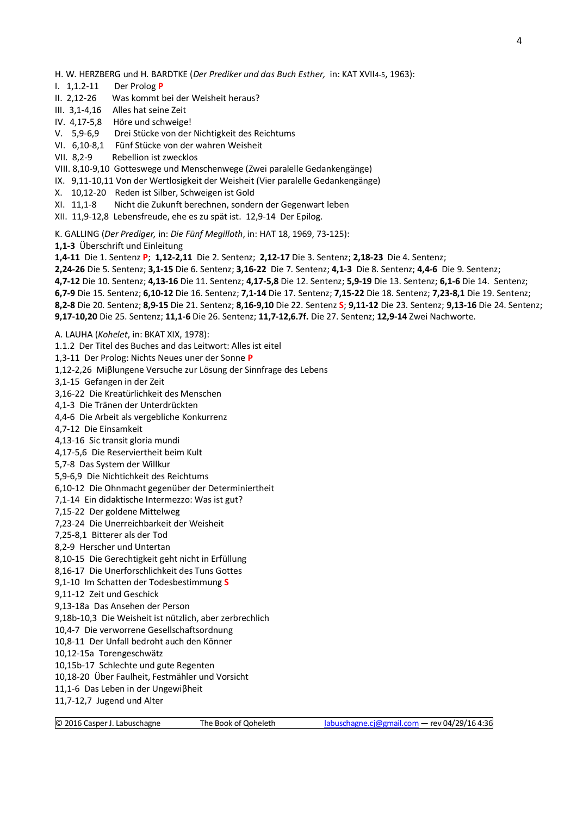H. W. HERZBERG und H. BARDTKE (*Der Prediker und das Buch Esther,* in: KAT XVII4-5, 1963):

- I. 1,1.2-11 Der Prolog **P**
- II. 2,12-26 Was kommt bei der Weisheit heraus?
- III. 3,1-4,16 Alles hat seine Zeit
- IV. 4,17-5,8 Höre und schweige!
- V. 5,9-6,9 Drei Stücke von der Nichtigkeit des Reichtums
- VI. 6,10-8,1 Fünf Stücke von der wahren Weisheit
- VII. 8,2-9 Rebellion ist zwecklos
- VIII. 8,10-9,10 Gotteswege und Menschenwege (Zwei paralelle Gedankengänge)
- IX. 9,11-10,11 Von der Wertlosigkeit der Weisheit (Vier paralelle Gedankengänge)
- X. 10,12-20 Reden ist Silber, Schweigen ist Gold
- XI. 11,1-8 Nicht die Zukunft berechnen, sondern der Gegenwart leben
- XII. 11,9-12,8 Lebensfreude, ehe es zu spät ist. 12,9-14 Der Epilog.
- K. GALLING (*Der Prediger,* in: *Die Fünf Megilloth*, in: HAT 18, 1969, 73-125):
- **1,1-3** Überschrift und Einleitung
- **1,4-11** Die 1. Sentenz **P**; **1,12-2,11** Die 2. Sentenz; **2,12-17** Die 3. Sentenz; **2,18-23** Die 4. Sentenz;
- **2,24-26** Die 5. Sentenz; **3,1-15** Die 6. Sentenz; **3,16-22** Die 7. Sentenz; **4,1-3** Die 8. Sentenz; **4,4-6** Die 9. Sentenz;
- **4,7-12** Die 10. Sentenz; **4,13-16** Die 11. Sentenz; **4,17-5,8** Die 12. Sentenz; **5,9-19** Die 13. Sentenz; **6,1-6** Die 14. Sentenz;
- **6,7-9** Die 15. Sentenz; **6,10-12** Die 16. Sentenz; **7,1-14** Die 17. Sentenz; **7,15-22** Die 18. Sentenz; **7,23-8,1** Die 19. Sentenz;
- **8,2-8** Die 20. Sentenz; **8,9-15** Die 21. Sentenz; **8,16-9,10** Die 22. Sentenz **S**; **9,11-12** Die 23. Sentenz; **9,13-16** Die 24. Sentenz;
- **9,17-10,20** Die 25. Sentenz; **11,1-6** Die 26. Sentenz; **11,7-12,6.7f.** Die 27. Sentenz; **12,9-14** Zwei Nachworte.
- A. LAUHA (*Kohelet*, in: BKAT XIX, 1978):

1.1.2 Der Titel des Buches and das Leitwort: Alles ist eitel 1,3-11 Der Prolog: Nichts Neues uner der Sonne **P** 1,12-2,26 Miβlungene Versuche zur Lösung der Sinnfrage des Lebens 3,1-15 Gefangen in der Zeit 3,16-22 Die Kreatürlichkeit des Menschen 4,1-3 Die Tränen der Unterdrückten 4,4-6 Die Arbeit als vergebliche Konkurrenz 4,7-12 Die Einsamkeit 4,13-16 Sic transit gloria mundi 4,17-5,6 Die Reserviertheit beim Kult 5,7-8 Das System der Willkur 5,9-6,9 Die Nichtichkeit des Reichtums 6,10-12 Die Ohnmacht gegenüber der Determiniertheit 7,1-14 Ein didaktische Intermezzo: Was ist gut? 7,15-22 Der goldene Mittelweg 7,23-24 Die Unerreichbarkeit der Weisheit 7,25-8,1 Bitterer als der Tod 8,2-9 Herscher und Untertan 8,10-15 Die Gerechtigkeit geht nicht in Erfüllung 8,16-17 Die Unerforschlichkeit des Tuns Gottes 9,1-10 Im Schatten der Todesbestimmung **S** 9,11-12 Zeit und Geschick 9,13-18a Das Ansehen der Person 9,18b-10,3 Die Weisheit ist nützlich, aber zerbrechlich 10,4-7 Die verworrene Gesellschaftsordnung 10,8-11 Der Unfall bedroht auch den Könner 10,12-15a Torengeschwätz 10,15b-17 Schlechte und gute Regenten 10,18-20 Über Faulheit, Festmähler und Vorsicht 11,1-6 Das Leben in der Ungewiβheit

11,7-12,7 Jugend und Alter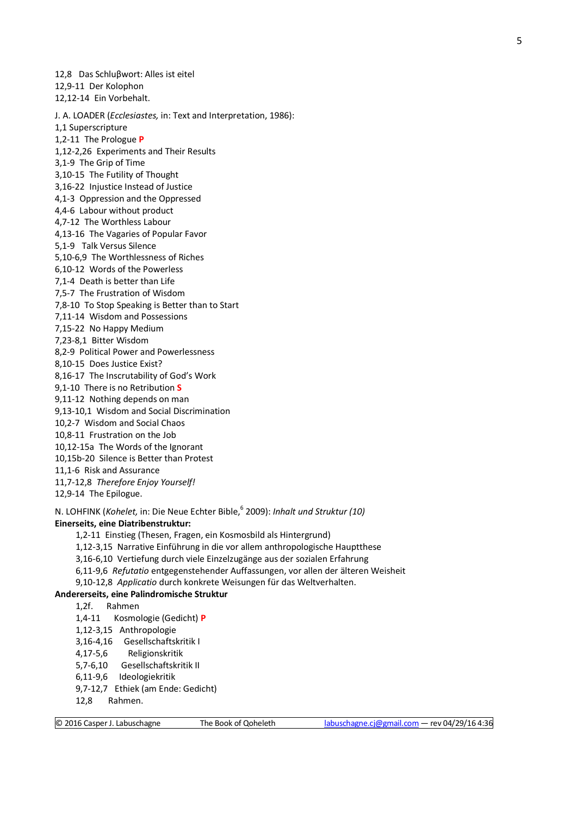12,8 Das Schluβwort: Alles ist eitel 12,9-11 Der Kolophon 12,12-14 Ein Vorbehalt. J. A. LOADER (*Ecclesiastes,* in: Text and Interpretation, 1986): 1,1 Superscripture 1,2-11 The Prologue **P** 1,12-2,26 Experiments and Their Results 3,1-9 The Grip of Time 3,10-15 The Futility of Thought 3,16-22 Injustice Instead of Justice 4,1-3 Oppression and the Oppressed 4,4-6 Labour without product 4,7-12 The Worthless Labour 4,13-16 The Vagaries of Popular Favor 5,1-9 Talk Versus Silence 5,10-6,9 The Worthlessness of Riches 6,10-12 Words of the Powerless 7,1-4 Death is better than Life 7,5-7 The Frustration of Wisdom 7,8-10 To Stop Speaking is Better than to Start 7,11-14 Wisdom and Possessions 7,15-22 No Happy Medium 7,23-8,1 Bitter Wisdom 8,2-9 Political Power and Powerlessness 8,10-15 Does Justice Exist? 8,16-17 The Inscrutability of God's Work 9,1-10 There is no Retribution **S** 9,11-12 Nothing depends on man 9,13-10,1 Wisdom and Social Discrimination 10,2-7 Wisdom and Social Chaos 10,8-11 Frustration on the Job 10,12-15a The Words of the Ignorant 10,15b-20 Silence is Better than Protest 11,1-6 Risk and Assurance 11,7-12,8 *Therefore Enjoy Yourself!* 12,9-14 The Epilogue. N. LOHFINK (*Kohelet,* in: Die Neue Echter Bible,<sup>6</sup> 2009): *Inhalt und Struktur (10)* **Einerseits, eine Diatribenstruktur:** 1,2-11 Einstieg (Thesen, Fragen, ein Kosmosbild als Hintergrund) 1,12-3,15 Narrative Einführung in die vor allem anthropologische Hauptthese 3,16-6,10 Vertiefung durch viele Einzelzugänge aus der sozialen Erfahrung 6,11-9,6 *Refutatio* entgegenstehender Auffassungen, vor allen der älteren Weisheit 9,10-12,8 *Applicatio* durch konkrete Weisungen für das Weltverhalten. **Andererseits, eine Palindromische Struktur** 1,2f. Rahmen 1,4-11 Kosmologie (Gedicht) **P** 1,12-3,15 Anthropologie

3,16-4,16 Gesellschaftskritik I 4,17-5,6 Religionskritik 5,7-6,10 Gesellschaftskritik II 6,11-9,6 Ideologiekritik 9,7-12,7 Ethiek (am Ende: Gedicht)

12,8 Rahmen.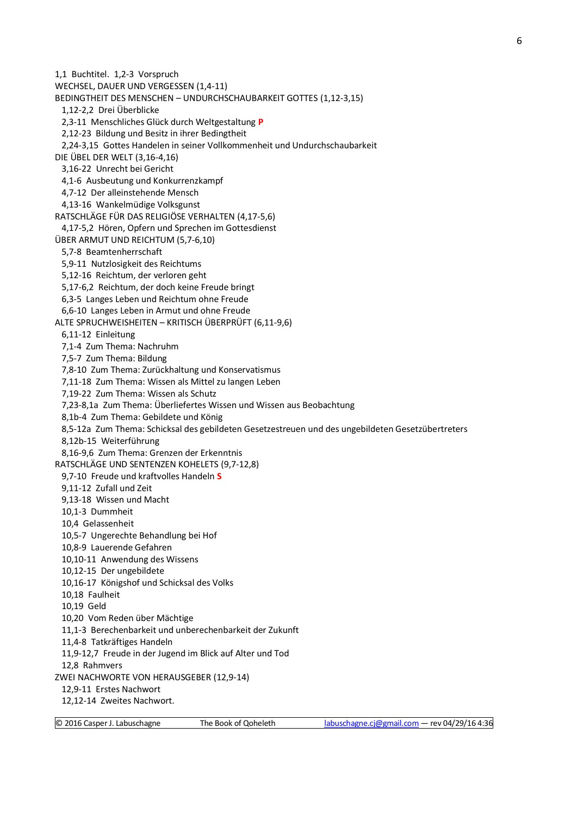1,1 Buchtitel. 1,2-3 Vorspruch WECHSEL, DAUER UND VERGESSEN (1,4-11) BEDINGTHEIT DES MENSCHEN – UNDURCHSCHAUBARKEIT GOTTES (1,12-3,15) 1,12-2,2 Drei Überblicke 2,3-11 Menschliches Glück durch Weltgestaltung **P** 2,12-23 Bildung und Besitz in ihrer Bedingtheit 2,24-3,15 Gottes Handelen in seiner Vollkommenheit und Undurchschaubarkeit DIE ÜBEL DER WELT (3,16-4,16) 3,16-22 Unrecht bei Gericht 4,1-6 Ausbeutung und Konkurrenzkampf 4,7-12 Der alleinstehende Mensch 4,13-16 Wankelmüdige Volksgunst RATSCHLÄGE FÜR DAS RELIGIÖSE VERHALTEN (4,17-5,6) 4,17-5,2 Hören, Opfern und Sprechen im Gottesdienst ÜBER ARMUT UND REICHTUM (5,7-6,10) 5,7-8 Beamtenherrschaft 5,9-11 Nutzlosigkeit des Reichtums 5,12-16 Reichtum, der verloren geht 5,17-6,2 Reichtum, der doch keine Freude bringt 6,3-5 Langes Leben und Reichtum ohne Freude 6,6-10 Langes Leben in Armut und ohne Freude ALTE SPRUCHWEISHEITEN – KRITISCH ÜBERPRÜFT (6,11-9,6) 6,11-12 Einleitung 7,1-4 Zum Thema: Nachruhm 7,5-7 Zum Thema: Bildung 7,8-10 Zum Thema: Zurückhaltung und Konservatismus 7,11-18 Zum Thema: Wissen als Mittel zu langen Leben 7,19-22 Zum Thema: Wissen als Schutz 7,23-8,1a Zum Thema: Überliefertes Wissen und Wissen aus Beobachtung 8,1b-4 Zum Thema: Gebildete und König 8,5-12a Zum Thema: Schicksal des gebildeten Gesetzestreuen und des ungebildeten Gesetzübertreters 8,12b-15 Weiterführung 8,16-9,6 Zum Thema: Grenzen der Erkenntnis RATSCHLÄGE UND SENTENZEN KOHELETS (9,7-12,8) 9,7-10 Freude und kraftvolles Handeln **S** 9,11-12 Zufall und Zeit 9,13-18 Wissen und Macht 10,1-3 Dummheit 10,4 Gelassenheit 10,5-7 Ungerechte Behandlung bei Hof 10,8-9 Lauerende Gefahren 10,10-11 Anwendung des Wissens 10,12-15 Der ungebildete 10,16-17 Königshof und Schicksal des Volks 10,18 Faulheit 10,19 Geld 10,20 Vom Reden über Mächtige 11,1-3 Berechenbarkeit und unberechenbarkeit der Zukunft 11,4-8 Tatkräftiges Handeln 11,9-12,7 Freude in der Jugend im Blick auf Alter und Tod 12,8 Rahmvers ZWEI NACHWORTE VON HERAUSGEBER (12,9-14) 12,9-11 Erstes Nachwort 12,12-14 Zweites Nachwort.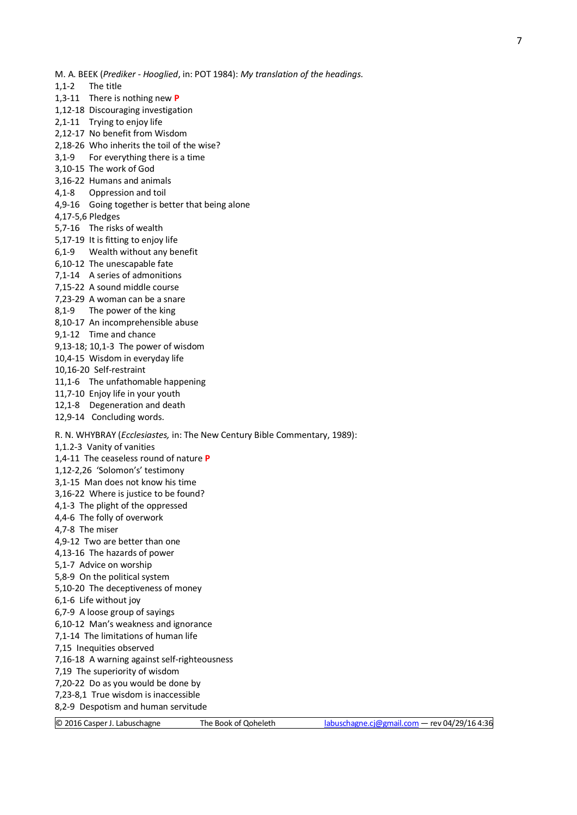- M. A. BEEK (*Prediker - Hooglied*, in: POT 1984): *My translation of the headings.*
- 1,1-2 The title
- 1,3-11 There is nothing new **P**
- 1,12-18 Discouraging investigation
- 2,1-11 Trying to enjoy life
- 2,12-17 No benefit from Wisdom
- 2,18-26 Who inherits the toil of the wise?
- 3,1-9 For everything there is a time
- 3,10-15 The work of God
- 3,16-22 Humans and animals 4,1-8 Oppression and toil
- 4,9-16 Going together is better that being alone
- 4,17-5,6 Pledges
- 5,7-16 The risks of wealth
- 5,17-19 It is fitting to enjoy life
- 6,1-9 Wealth without any benefit
- 6,10-12 The unescapable fate
- 7,1-14 A series of admonitions
- 7,15-22 A sound middle course
- 7,23-29 A woman can be a snare
- 8,1-9 The power of the king
- 8,10-17 An incomprehensible abuse
- 9,1-12 Time and chance
- 9,13-18; 10,1-3 The power of wisdom
- 10,4-15 Wisdom in everyday life
- 10,16-20 Self-restraint
- 11,1-6 The unfathomable happening
- 11,7-10 Enjoy life in your youth
- 12,1-8 Degeneration and death
- 12,9-14 Concluding words.
- R. N. WHYBRAY (*Ecclesiastes,* in: The New Century Bible Commentary, 1989):
- 1,1.2-3 Vanity of vanities
- 1,4-11 The ceaseless round of nature **P**
- 1,12-2,26 'Solomon's' testimony
- 3,1-15 Man does not know his time
- 3,16-22 Where is justice to be found?
- 4,1-3 The plight of the oppressed
- 4,4-6 The folly of overwork
- 4,7-8 The miser
- 4,9-12 Two are better than one
- 4,13-16 The hazards of power
- 5,1-7 Advice on worship
- 5,8-9 On the political system
- 5,10-20 The deceptiveness of money
- 6,1-6 Life without joy
- 6,7-9 A loose group of sayings
- 6,10-12 Man's weakness and ignorance
- 7,1-14 The limitations of human life
- 7,15 Inequities observed
- 7,16-18 A warning against self-righteousness
- 7,19 The superiority of wisdom
- 7,20-22 Do as you would be done by
- 7,23-8,1 True wisdom is inaccessible
- 8,2-9 Despotism and human servitude
- 
-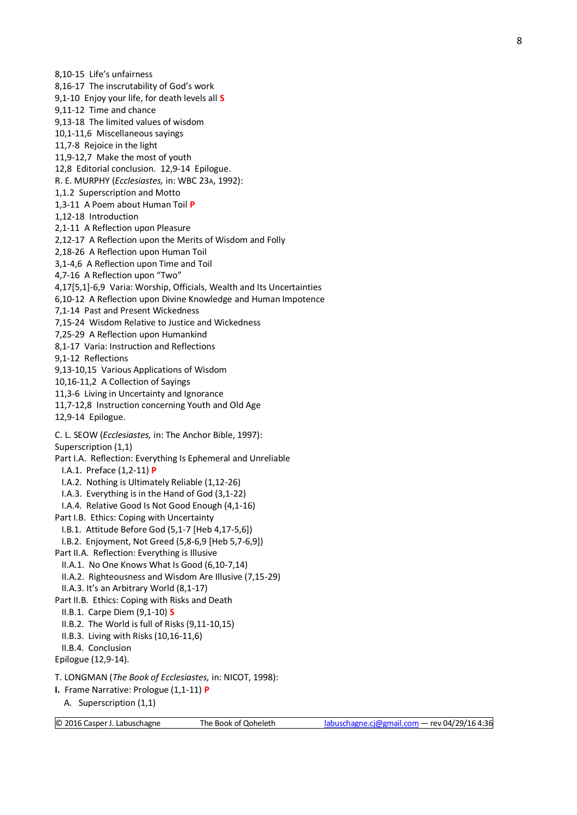8,10-15 Life's unfairness 8,16-17 The inscrutability of God's work 9,1-10 Enjoy your life, for death levels all **S** 9,11-12 Time and chance 9,13-18 The limited values of wisdom 10,1-11,6 Miscellaneous sayings 11,7-8 Rejoice in the light 11,9-12,7 Make the most of youth 12,8 Editorial conclusion. 12,9-14 Epilogue. R. E. MURPHY (*Ecclesiastes,* in: WBC 23A, 1992): 1,1.2 Superscription and Motto 1,3-11 A Poem about Human Toil **P** 1,12-18 Introduction 2,1-11 A Reflection upon Pleasure 2,12-17 A Reflection upon the Merits of Wisdom and Folly 2,18-26 A Reflection upon Human Toil 3,1-4,6 A Reflection upon Time and Toil 4,7-16 A Reflection upon "Two" 4,17[5,1]-6,9 Varia: Worship, Officials, Wealth and Its Uncertainties 6,10-12 A Reflection upon Divine Knowledge and Human Impotence 7,1-14 Past and Present Wickedness 7,15-24 Wisdom Relative to Justice and Wickedness 7,25-29 A Reflection upon Humankind 8,1-17 Varia: Instruction and Reflections 9,1-12 Reflections 9,13-10,15 Various Applications of Wisdom 10,16-11,2 A Collection of Sayings 11,3-6 Living in Uncertainty and Ignorance 11,7-12,8 Instruction concerning Youth and Old Age 12,9-14 Epilogue. C. L. SEOW (*Ecclesiastes,* in: The Anchor Bible, 1997): Superscription (1,1) Part I.A. Reflection: Everything Is Ephemeral and Unreliable I.A.1. Preface (1,2-11) **P** I.A.2. Nothing is Ultimately Reliable (1,12-26) I.A.3. Everything is in the Hand of God (3,1-22) I.A.4. Relative Good Is Not Good Enough (4,1-16) Part I.B. Ethics: Coping with Uncertainty I.B.1. Attitude Before God (5,1-7 [Heb 4,17-5,6]) I.B.2. Enjoyment, Not Greed (5,8-6,9 [Heb 5,7-6,9]) Part II.A. Reflection: Everything is Illusive II.A.1. No One Knows What Is Good (6,10-7,14) II.A.2. Righteousness and Wisdom Are Illusive (7,15-29) II.A.3. It's an Arbitrary World (8,1-17) Part II.B. Ethics: Coping with Risks and Death II.B.1. Carpe Diem (9,1-10) **S** II.B.2. The World is full of Risks (9,11-10,15) II.B.3. Living with Risks (10,16-11,6) II.B.4. Conclusion Epilogue (12,9-14). T. LONGMAN (*The Book of Ecclesiastes,* in: NICOT, 1998): **I.** Frame Narrative: Prologue (1,1-11) **P** A. Superscription (1,1)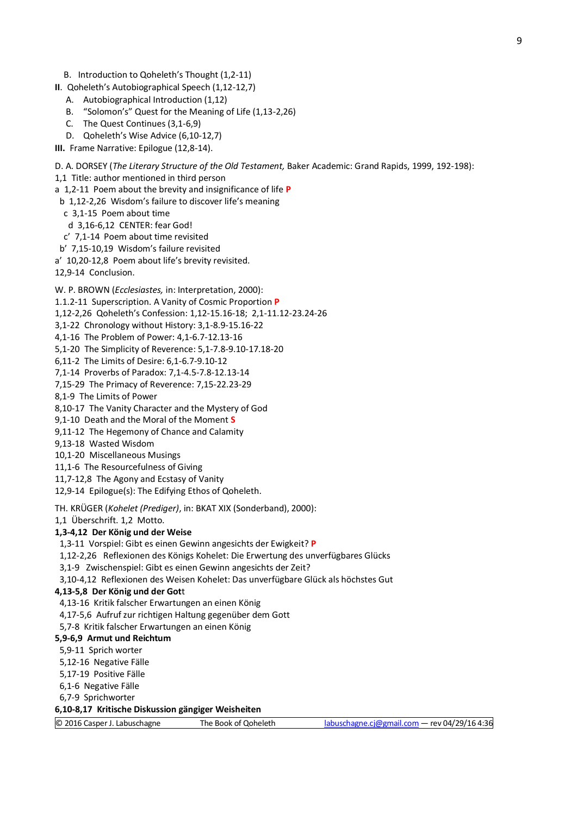- B. Introduction to Qoheleth's Thought (1,2-11)
- **II**. Qoheleth's Autobiographical Speech (1,12-12,7)
	- A. Autobiographical Introduction (1,12)
	- B. "Solomon's" Quest for the Meaning of Life (1,13-2,26)
	- C. The Quest Continues (3,1-6,9)
	- D. Qoheleth's Wise Advice (6,10-12,7)
- **III.** Frame Narrative: Epilogue (12,8-14).

D. A. DORSEY (*The Literary Structure of the Old Testament,* Baker Academic: Grand Rapids, 1999, 192-198):

1,1 Title: author mentioned in third person

a 1,2-11 Poem about the brevity and insignificance of life **P**

- b 1,12-2,26 Wisdom's failure to discover life's meaning
- c 3,1-15 Poem about time

d 3,16-6,12 CENTER: fear God!

- c' 7,1-14 Poem about time revisited
- b' 7,15-10,19 Wisdom's failure revisited
- a' 10,20-12,8 Poem about life's brevity revisited.

12,9-14 Conclusion.

W. P. BROWN (*Ecclesiastes,* in: Interpretation, 2000):

- 1.1.2-11 Superscription. A Vanity of Cosmic Proportion **P**
- 1,12-2,26 Qoheleth's Confession: 1,12-15.16-18; 2,1-11.12-23.24-26
- 3,1-22 Chronology without History: 3,1-8.9-15.16-22
- 4,1-16 The Problem of Power: 4,1-6.7-12.13-16
- 5,1-20 The Simplicity of Reverence: 5,1-7.8-9.10-17.18-20

6,11-2 The Limits of Desire: 6,1-6.7-9.10-12

- 7,1-14 Proverbs of Paradox: 7,1-4.5-7.8-12.13-14
- 7,15-29 The Primacy of Reverence: 7,15-22.23-29
- 8,1-9 The Limits of Power
- 8,10-17 The Vanity Character and the Mystery of God
- 9,1-10 Death and the Moral of the Moment **S**
- 9,11-12 The Hegemony of Chance and Calamity
- 9,13-18 Wasted Wisdom
- 10,1-20 Miscellaneous Musings
- 11,1-6 The Resourcefulness of Giving
- 11,7-12,8 The Agony and Ecstasy of Vanity

12,9-14 Epilogue(s): The Edifying Ethos of Qoheleth.

TH. KRÜGER (*Kohelet (Prediger)*, in: BKAT XIX (Sonderband), 2000):

1,1 Überschrift. 1,2 Motto.

#### **1,3-4,12 Der König und der Weise**

1,3-11 Vorspiel: Gibt es einen Gewinn angesichts der Ewigkeit? **P**

1,12-2,26 Reflexionen des Königs Kohelet: Die Erwertung des unverfügbares Glücks

3,1-9 Zwischenspiel: Gibt es einen Gewinn angesichts der Zeit?

3,10-4,12 Reflexionen des Weisen Kohelet: Das unverfügbare Glück als höchstes Gut

#### **4,13-5,8 Der König und der Got**t

4,13-16 Kritik falscher Erwartungen an einen König

4,17-5,6 Aufruf zur richtigen Haltung gegenüber dem Gott

5,7-8 Kritik falscher Erwartungen an einen König

#### **5,9-6,9 Armut und Reichtum**

5,9-11 Sprich worter

- 5,12-16 Negative Fälle
- 5,17-19 Positive Fälle
- 6,1-6 Negative Fälle
- 6,7-9 Sprichworter

#### **6,10-8,17 Kritische Diskussion gängiger Weisheiten**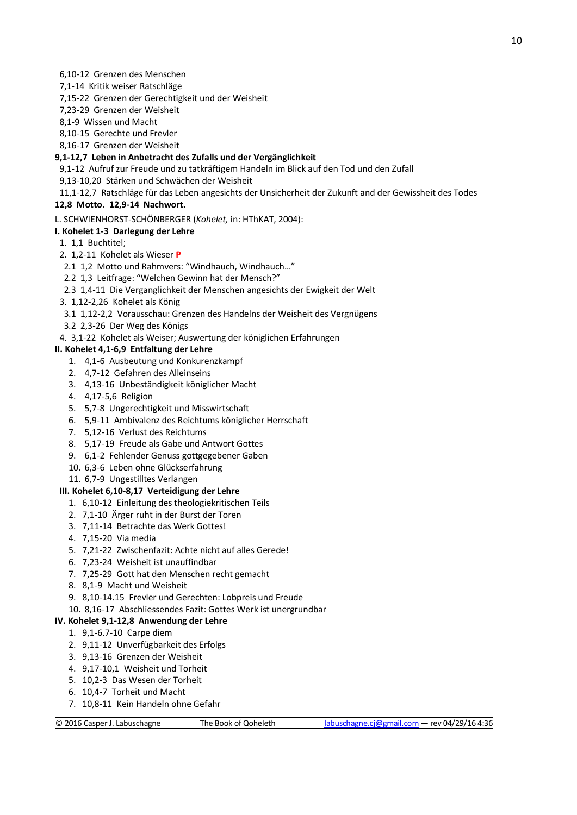- 6,10-12 Grenzen des Menschen
- 7,1-14 Kritik weiser Ratschläge
- 7,15-22 Grenzen der Gerechtigkeit und der Weisheit
- 7,23-29 Grenzen der Weisheit
- 8,1-9 Wissen und Macht
- 8,10-15 Gerechte und Frevler
- 8,16-17 Grenzen der Weisheit

#### **9,1-12,7 Leben in Anbetracht des Zufalls und der Vergänglichkeit**

9,1-12 Aufruf zur Freude und zu tatkräftigem Handeln im Blick auf den Tod und den Zufall

9,13-10,20 Stärken und Schwächen der Weisheit

## 11,1-12,7 Ratschläge für das Leben angesichts der Unsicherheit der Zukunft and der Gewissheit des Todes

## **12,8 Motto. 12,9-14 Nachwort.**

#### L. SCHWIENHORST-SCHÖNBERGER (*Kohelet,* in: HThKAT, 2004):

- **I. Kohelet 1-3 Darlegung der Lehre**
- 1. 1,1 Buchtitel;

#### 2. 1,2-11 Kohelet als Wieser **P**

- 2.1 1,2 Motto und Rahmvers: "Windhauch, Windhauch…"
- 2.2 1,3 Leitfrage: "Welchen Gewinn hat der Mensch?"
- 2.3 1,4-11 Die Verganglichkeit der Menschen angesichts der Ewigkeit der Welt
- 3. 1,12-2,26 Kohelet als König
- 3.1 1,12-2,2 Vorausschau: Grenzen des Handelns der Weisheit des Vergnügens
- 3.2 2,3-26 Der Weg des Königs
- 4. 3,1-22 Kohelet als Weiser; Auswertung der königlichen Erfahrungen

#### **II. Kohelet 4,1-6,9 Entfaltung der Lehre**

- 1. 4,1-6 Ausbeutung und Konkurenzkampf
- 2. 4,7-12 Gefahren des Alleinseins
- 3. 4,13-16 Unbeständigkeit königlicher Macht
- 4. 4,17-5,6 Religion
- 5. 5,7-8 Ungerechtigkeit und Misswirtschaft
- 6. 5,9-11 Ambivalenz des Reichtums königlicher Herrschaft
- 7. 5,12-16 Verlust des Reichtums
- 8. 5,17-19 Freude als Gabe und Antwort Gottes
- 9. 6,1-2 Fehlender Genuss gottgegebener Gaben
- 10. 6,3-6 Leben ohne Glückserfahrung
- 11. 6,7-9 Ungestilltes Verlangen

## **III. Kohelet 6,10-8,17 Verteidigung der Lehre**

- 1. 6,10-12 Einleitung des theologiekritischen Teils
- 2. 7,1-10 Ärger ruht in der Burst der Toren
- 3. 7,11-14 Betrachte das Werk Gottes!
- 4. 7,15-20 Via media
- 5. 7,21-22 Zwischenfazit: Achte nicht auf alles Gerede!
- 6. 7,23-24 Weisheit ist unauffindbar
- 7. 7,25-29 Gott hat den Menschen recht gemacht
- 8. 8,1-9 Macht und Weisheit
- 9. 8,10-14.15 Frevler und Gerechten: Lobpreis und Freude
- 10. 8,16-17 Abschliessendes Fazit: Gottes Werk ist unergrundbar

#### **IV. Kohelet 9,1-12,8 Anwendung der Lehre**

- 1. 9,1-6.7-10 Carpe diem
- 2. 9,11-12 Unverfügbarkeit des Erfolgs
- 3. 9,13-16 Grenzen der Weisheit
- 4. 9,17-10,1 Weisheit und Torheit
- 5. 10,2-3 Das Wesen der Torheit
- 6. 10,4-7 Torheit und Macht
- 7. 10,8-11 Kein Handeln ohne Gefahr

© 2016 Casper J. Labuschagne The Book of Qoheleth [labuschagne.cj@gmail.com](mailto:labuschagne.cj@gmail.com) — rev 04/29/16 4:36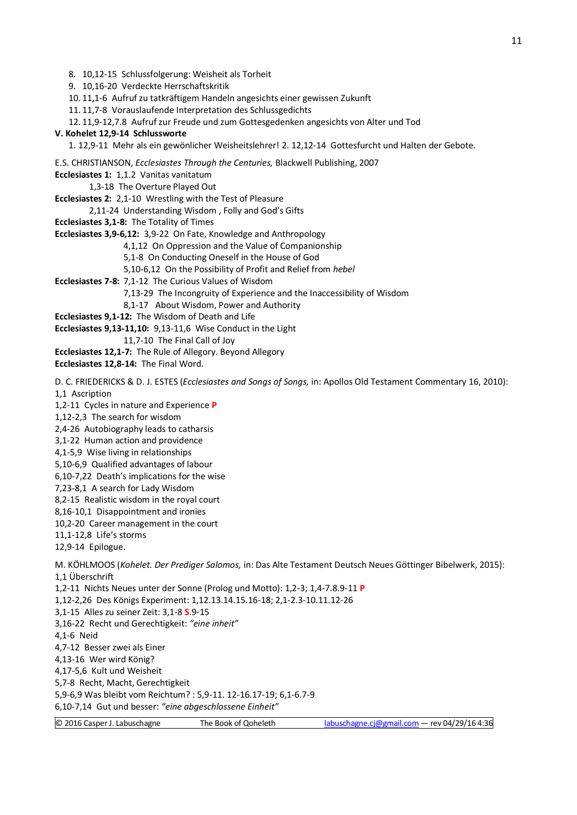8. 10,12-15 Schlussfolgerung: Weisheit als Torheit

9. 10,16-20 Verdeckte Herrschaftskritik

10. 11,1-6 Aufruf zu tatkräftigem Handeln angesichts einer gewissen Zukunft

11. 11,7-8 Vorauslaufende Interpretation des Schlussgedichts

12. 11,9-12,7.8 Aufruf zur Freude und zum Gottesgedenken angesichts von Alter und Tod

#### **V. Kohelet 12,9-14 Schlussworte**

1. 12,9-11 Mehr als ein gewönlicher Weisheitslehrer! 2. 12,12-14 Gottesfurcht und Halten der Gebote.

E.S. CHRISTIANSON, *Ecclesiastes Through the Centuries,* Blackwell Publishing, 2007

**Ecclesiastes 1:** 1,1.2 Vanitas vanitatum

1,3-18 The Overture Played Out

**Ecclesiastes 2:** 2,1-10 Wrestling with the Test of Pleasure

2,11-24 Understanding Wisdom , Folly and God's Gifts

**Ecclesiastes 3,1-8:** The Totality of Times

**Ecclesiastes 3,9-6,12:** 3,9-22 On Fate, Knowledge and Anthropology

4,1,12 On Oppression and the Value of Companionship

5,1-8 On Conducting Oneself in the House of God

5,10-6,12 On the Possibility of Profit and Relief from *hebel*

**Ecclesiastes 7-8:** 7,1-12 The Curious Values of Wisdom

7,13-29 The Incongruity of Experience and the Inaccessibility of Wisdom

8,1-17 About Wisdom, Power and Authority

**Ecclesiastes 9,1-12:** The Wisdom of Death and Life

**Ecclesiastes 9,13-11,10:** 9,13-11,6 Wise Conduct in the Light

11,7-10 The Final Call of Joy

**Ecclesiastes 12,1-7:** The Rule of Allegory. Beyond Allegory

**Ecclesiastes 12,8-14:** The Final Word.

D. C. FRIEDERICKS & D. J. ESTES (*Ecclesiastes and Songs of Songs,* in: Apollos Old Testament Commentary 16, 2010): 1,1 Ascription

1,2-11 Cycles in nature and Experience **P**

1,12-2,3 The search for wisdom

2,4-26 Autobiography leads to catharsis

3,1-22 Human action and providence

4,1-5,9 Wise living in relationships

5,10-6,9 Qualified advantages of labour

6,10-7,22 Death's implications for the wise

7,23-8,1 A search for Lady Wisdom

8,2-15 Realistic wisdom in the royal court

8,16-10,1 Disappointment and ironies

10,2-20 Career management in the court

11,1-12,8 Life's storms

12,9-14 Epilogue.

M. KÖHLMOOS (*Kohelet. Der Prediger Salomos,* in: Das Alte Testament Deutsch Neues Göttinger Bibelwerk, 2015): 1,1 Überschrift

1,2-11 Nichts Neues unter der Sonne (Prolog und Motto): 1,2-3; 1,4-7.8.9-11 **P** 1,12-2,26 Des Königs Experiment: 1,12.13.14.15.16-18; 2,1-2.3-10.11.12-26

3,1-15 Alles zu seiner Zeit: 3,1-8 **S**.9-15

3,16-22 Recht und Gerechtigkeit: *"eine inheit"*

4,1-6 Neid

4,7-12 Besser zwei als Einer

4,13-16 Wer wird König?

4,17-5,6 Kult und Weisheit

5,7-8 Recht, Macht, Gerechtigkeit

5,9-6,9 Was bleibt vom Reichtum? : 5,9-11. 12-16.17-19; 6,1-6.7-9

6,10-7,14 Gut und besser: *"eine abgeschlossene Einheit"*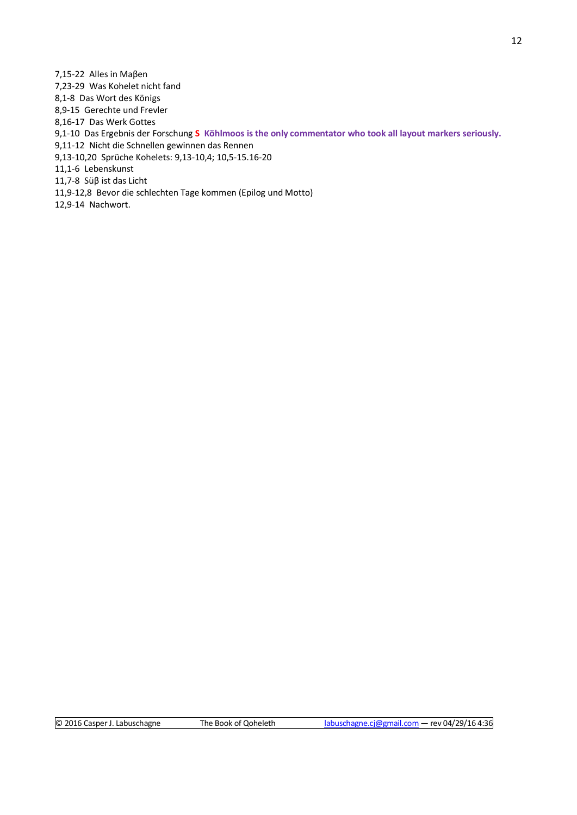7,15-22 Alles in Maβen 7,23-29 Was Kohelet nicht fand 8,1-8 Das Wort des Königs 8,9-15 Gerechte und Frevler 8,16-17 Das Werk Gottes 9,1-10 Das Ergebnis der Forschung **S Köhlmoos is the only commentator who took all layout markers seriously.** 9,11-12 Nicht die Schnellen gewinnen das Rennen 9,13-10,20 Sprüche Kohelets: 9,13-10,4; 10,5-15.16-20 11,1-6 Lebenskunst 11,7-8 Süβ ist das Licht 11,9-12,8 Bevor die schlechten Tage kommen (Epilog und Motto)

12,9-14 Nachwort.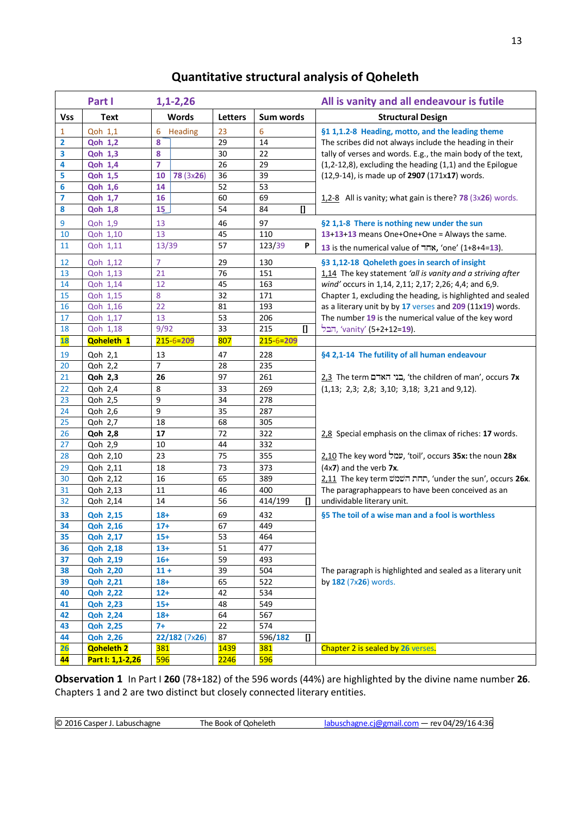# **Quantitative structural analysis of Qoheleth**

|                | Part I                                | $1,1-2,26$             |                            |                                       | All is vanity and all endeavour is futile                    |
|----------------|---------------------------------------|------------------------|----------------------------|---------------------------------------|--------------------------------------------------------------|
| <b>Vss</b>     | <b>Text</b>                           | <b>Words</b>           | <b>Letters</b>             | Sum words                             | <b>Structural Design</b>                                     |
| $\mathbf{1}$   | Qoh 1,1                               | 6<br>Heading           | 23                         | 6                                     | §1 1,1.2-8 Heading, motto, and the leading theme             |
| 2              | <b>Qoh 1,2</b>                        | 8                      | 29                         | 14                                    | The scribes did not always include the heading in their      |
| 3              | <b>Qoh 1,3</b>                        | 8                      | 30                         | 22                                    | tally of verses and words. E.g., the main body of the text,  |
| 4              | <b>Qoh 1,4</b>                        | $\overline{7}$         | 26                         | 29                                    | (1,2-12,8), excluding the heading (1,1) and the Epilogue     |
| 5              | <b>Qoh 1,5</b>                        | <b>78 (3x26)</b><br>10 | 36                         | 39                                    | (12,9-14), is made up of 2907 (171x17) words.                |
| 6              | <b>Qoh 1,6</b>                        | 14                     | 52                         | 53                                    |                                                              |
| $\overline{7}$ | <b>Qoh 1,7</b>                        | 16                     | 60                         | 69                                    | 1,2-8 All is vanity; what gain is there? 78 (3x26) words.    |
| 8              | Qoh 1,8                               | 15                     | 54                         | 84<br>O                               |                                                              |
| 9              | Qoh 1,9                               | 13                     | 46                         | 97                                    | §2 1,1-8 There is nothing new under the sun                  |
| 10             | Qoh 1,10                              | 13                     | 45                         | 110                                   | 13+13+13 means One+One+One = Always the same.                |
| 11             | Qoh 1,11                              | 13/39                  | 57                         | 123/39<br>P                           | 13 is the numerical value of החד , 'one' (1+8+4=13).         |
| 12             | Qoh 1,12                              | $\overline{7}$         | 29                         | 130                                   | §3 1,12-18 Qoheleth goes in search of insight                |
| 13             | Qoh 1,13                              | 21                     | 76                         | 151                                   | 1,14 The key statement 'all is vanity and a striving after   |
| 14             | Qoh 1,14                              | 12                     | 45                         | 163                                   | wind' occurs in 1,14, 2,11; 2,17; 2,26; 4,4; and 6,9.        |
| 15             | Qoh 1,15                              | 8                      | 32                         | 171                                   | Chapter 1, excluding the heading, is highlighted and sealed  |
| 16             | Qoh 1,16                              | 22                     | 81                         | 193                                   | as a literary unit by by 17 verses and 209 (11x19) words.    |
| 17             | Qoh 1,17                              | 13                     | 53                         | 206                                   | The number 19 is the numerical value of the key word         |
| 18             | Qoh 1,18                              | 9/92                   | 33                         | 215<br>$\mathbf{I}$                   | הבל, 'vanity' (5+2+12=19).                                   |
| <b>18</b>      | <b>Qoheleth 1</b>                     | $215 - 6 = 209$        | 807                        | $215 - 6 = 209$                       |                                                              |
| 19             | Qoh 2,1                               | 13                     | 47                         | 228                                   | §4 2,1-14 The futility of all human endeavour                |
| 20             | Qoh 2,2                               | $\overline{7}$         | 28                         | 235                                   |                                                              |
| 21             | Qoh 2,3                               | 26                     | 97                         | 261                                   | בני האדם The term בני האדם, 'the children of man', occurs 7x |
| 22             | Qoh 2,4                               | 8                      | 33                         | 269                                   | $(1,13; 2,3; 2,8; 3,10; 3,18; 3,21$ and $9,12)$ .            |
| 23             | Qoh 2,5                               | 9                      | 34                         | 278                                   |                                                              |
| 24             | Qoh 2,6                               | 9                      | 35                         | 287                                   |                                                              |
| 25             | Qoh 2,7                               | 18                     | 68                         | 305                                   |                                                              |
| 26             | Qoh 2,8                               | 17                     | 72                         | 322                                   | 2.8 Special emphasis on the climax of riches: 17 words.      |
| 27             | Qoh 2,9                               | 10                     | 44                         | 332                                   |                                                              |
| 28             | Qoh 2,10                              | 23                     | 75                         | 355                                   | עמל The key word שנזל, 'toil', occurs 35x: the noun 28x      |
| 29             | Qoh 2,11                              | 18                     | 73                         | 373                                   | $(4x7)$ and the verb 7x.                                     |
| 30             | Qoh 2,12                              | 16                     | 65                         | 389                                   | <u>2,11</u> The key term שמש (under the sun', occurs 26x.    |
| 31             | Qoh 2,13                              | 11                     | 46                         | 400                                   | The paragraphappears to have been conceived as an            |
| 32             | Qoh 2,14                              | 14                     | 56                         | 414/199<br>$\mathbf{u}$               | undividable literary unit.                                   |
| 33             | <b>Qoh 2,15</b>                       | $18+$                  | 69                         | 432                                   | §5 The toil of a wise man and a fool is worthless            |
| 34             | <b>Qoh 2,16</b>                       | $17+$                  | 67                         | 449                                   |                                                              |
| 35             | <b>Qoh 2,17</b>                       | $15+$                  | 53                         | 464                                   |                                                              |
| 36             | <b>Qoh 2,18</b>                       | $13+$                  | 51                         | 477                                   |                                                              |
| 37             | <b>Qoh 2,19</b>                       | $16+$                  | 59                         | 493                                   |                                                              |
| 38             | <b>Qoh 2,20</b>                       | $11 +$                 | 39                         | 504                                   | The paragraph is highlighted and sealed as a literary unit   |
| 39             | <b>Qoh 2,21</b>                       | $18+$                  | 65                         | 522                                   | by 182 (7x26) words.                                         |
| 40             | <b>Qoh 2,22</b>                       | $12+$                  | 42                         | 534                                   |                                                              |
| 41             | <b>Qoh 2,23</b>                       | $15+$                  | 48                         | 549                                   |                                                              |
| 42             | <b>Qoh 2,24</b>                       | $18+$                  | 64                         | 567                                   |                                                              |
| 43             | <b>Qoh 2,25</b>                       | $7+$                   | 22                         | 574                                   |                                                              |
| 44<br>26       | <b>Qoh 2,26</b>                       | 22/182 (7x26)<br>381   | 87                         | $\mathbf{u}$<br>596/182<br><b>381</b> | Chapter 2 is sealed by 26 verses.                            |
| 44             | <b>Qoheleth 2</b><br>Part I: 1,1-2,26 | <b>596</b>             | <b>1439</b><br><b>2246</b> | <b>596</b>                            |                                                              |
|                |                                       |                        |                            |                                       |                                                              |

**Observation 1** In Part I **260** (78+182) of the 596 words (44%) are highlighted by the divine name number **26**. Chapters 1 and 2 are two distinct but closely connected literary entities.

© 2016 Casper J. Labuschagne The Book of Qoheleth [labuschagne.cj@gmail.com](mailto:labuschagne.cj@gmail.com) — rev 04/29/16 4:36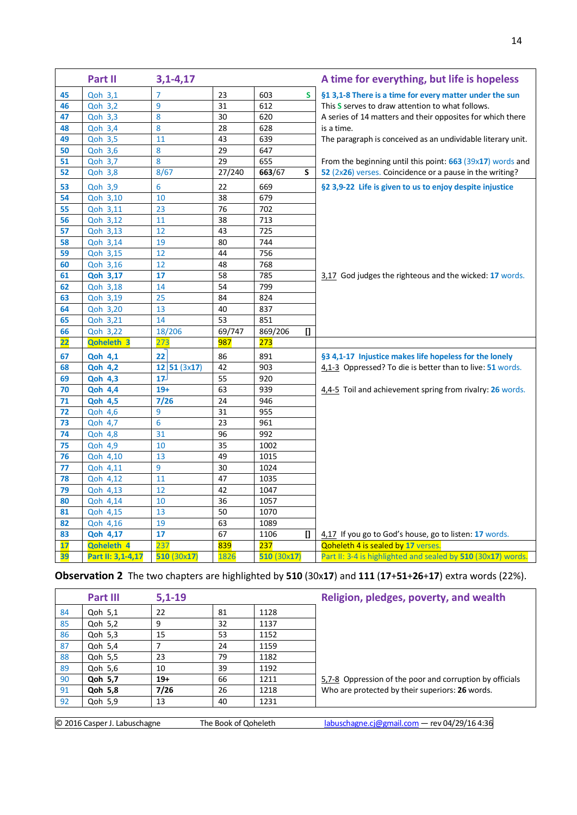|    | Part II           | $3,1 - 4,17$    |                  |               |                | A time for everything, but life is hopeless                  |
|----|-------------------|-----------------|------------------|---------------|----------------|--------------------------------------------------------------|
| 45 | Qoh 3,1           | $\overline{7}$  | 23               | 603           | S.             | §1 3,1-8 There is a time for every matter under the sun      |
| 46 | <b>Qoh 3,2</b>    | 9               | 31               | 612           |                | This S serves to draw attention to what follows.             |
| 47 | Qoh 3,3           | 8               | 30               | 620           |                | A series of 14 matters and their opposites for which there   |
| 48 | <b>Qoh 3,4</b>    | 8               | 28               | 628           |                | is a time.                                                   |
| 49 | Qoh 3,5           | 11              | 43               | 639           |                | The paragraph is conceived as an undividable literary unit.  |
| 50 | Qoh 3,6           | 8               | 29               | 647           |                |                                                              |
| 51 | Qoh 3,7           | 8               | 29               | 655           |                | From the beginning until this point: 663 (39x17) words and   |
| 52 | <b>Qoh 3,8</b>    | 8/67            | 27/240           | 663/67<br>S   |                | 52 (2x26) verses. Coincidence or a pause in the writing?     |
| 53 | Qoh 3,9           | 6               | 22               | 669           |                | §2 3,9-22 Life is given to us to enjoy despite injustice     |
| 54 | Qoh 3,10          | 10              | 38               | 679           |                |                                                              |
| 55 | Qoh 3,11          | 23              | 76               | 702           |                |                                                              |
| 56 | Qoh 3,12          | 11              | 38               | 713           |                |                                                              |
| 57 | Qoh 3,13          | 12              | 43               | 725           |                |                                                              |
| 58 | Qoh 3,14          | 19              | 80               | 744           |                |                                                              |
| 59 | Qoh 3,15          | 12              | 44               | 756           |                |                                                              |
| 60 | Qoh 3,16          | 12              | 48               | 768           |                |                                                              |
| 61 | <b>Qoh 3,17</b>   | 17              | 58               | 785           |                | 3,17 God judges the righteous and the wicked: 17 words.      |
| 62 | Qoh 3,18          | 14              | 54               | 799           |                |                                                              |
| 63 | Qoh 3,19          | 25              | 84               | 824           |                |                                                              |
| 64 | Qoh 3,20          | 13              | 40               | 837           |                |                                                              |
| 65 | Qoh 3,21          | 14              | 53               | 851           |                |                                                              |
| 66 | Qoh 3,22          | 18/206          | 69/747           | 869/206       | $\mathbf{I}$   |                                                              |
| 22 | Qoheleth 3        | 273             | 987              | 273           |                |                                                              |
| 67 | <b>Qoh 4,1</b>    | 22              | 86               | 891           |                | §3 4,1-17 Injustice makes life hopeless for the lonely       |
| 68 | <b>Qoh 4,2</b>    | 12 51(3x17)     | 42               | 903           |                | 4,1-3 Oppressed? To die is better than to live: 51 words.    |
| 69 | <b>Qoh 4,3</b>    | 17 <sup>1</sup> | 55               | 920           |                |                                                              |
| 70 | <b>Qoh 4,4</b>    | $19+$           | 63               | 939           |                | 4,4-5 Toil and achievement spring from rivalry: 26 words.    |
| 71 | <b>Qoh 4,5</b>    | 7/26            | 24               | 946           |                |                                                              |
| 72 | <b>Qoh 4,6</b>    | 9               | 31               | 955           |                |                                                              |
| 73 | Qoh 4,7           | 6               | 23               | 961           |                |                                                              |
| 74 | <b>Qoh 4,8</b>    | 31              | 96               | 992           |                |                                                              |
| 75 | <b>Qoh 4,9</b>    | 10              | 35               | 1002          |                |                                                              |
| 76 | Qoh 4,10          | 13              | 49               | 1015          |                |                                                              |
| 77 | Qoh 4,11          | 9               | 30               | 1024          |                |                                                              |
| 78 | Qoh 4,12          | 11              | 47               | 1035          |                |                                                              |
| 79 | Qoh 4,13          | 12              | 42               | 1047          |                |                                                              |
| 80 | Qoh 4,14          | 10              | 36               | 1057          |                |                                                              |
| 81 | Qoh 4,15          | 13              | 50               | 1070          |                |                                                              |
| 82 | Qoh 4,16          | 19              | 63               | 1089          |                |                                                              |
| 83 | <b>Qoh 4,17</b>   | 17              | 67               | 1106          | $\overline{a}$ | 4,17 If you go to God's house, go to listen: 17 words.       |
| 17 | Qoheleth 4        | 237             | <mark>839</mark> | <b>237</b>    |                | Qoheleth 4 is sealed by 17 verses.                           |
| 39 | Part II: 3,1-4,17 | 510 (30x17)     | 1826             | 510 $(30x17)$ |                | Part II: 3-4 is highlighted and sealed by 510 (30x17) words. |

## **Observation 2** The two chapters are highlighted by **510** (30x**17**) and **111** (**17**+**51**+**26**+**17**) extra words (22%).

|    | <b>Part III</b>              | $5,1-19$ |                      |      | Religion, pledges, poverty, and wealth                   |  |  |  |
|----|------------------------------|----------|----------------------|------|----------------------------------------------------------|--|--|--|
| 84 | Qoh 5,1                      | 22       | 81                   | 1128 |                                                          |  |  |  |
| 85 | Qoh 5,2                      | 9        | 32                   | 1137 |                                                          |  |  |  |
| 86 | Qoh 5,3                      | 15       | 53                   | 1152 |                                                          |  |  |  |
| 87 | Qoh 5,4                      |          | 24                   | 1159 |                                                          |  |  |  |
| 88 | Qoh 5,5                      | 23       | 79                   | 1182 |                                                          |  |  |  |
| 89 | Qoh 5,6                      | 10       | 39                   | 1192 |                                                          |  |  |  |
| 90 | Qoh 5,7                      | $19+$    | 66                   | 1211 | 5,7-8 Oppression of the poor and corruption by officials |  |  |  |
| 91 | Qoh 5,8                      | 7/26     | 26                   | 1218 | Who are protected by their superiors: 26 words.          |  |  |  |
| 92 | Qoh 5,9                      | 13       | 40                   | 1231 |                                                          |  |  |  |
|    |                              |          |                      |      |                                                          |  |  |  |
|    | © 2016 Casper J. Labuschagne |          | The Book of Qoheleth |      | labuschagne.cj@gmail.com - rev 04/29/16 4:36             |  |  |  |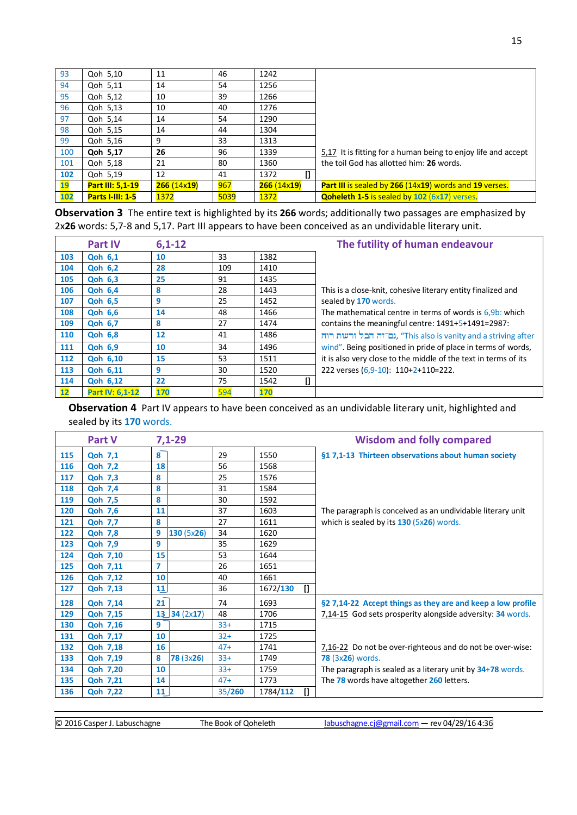| 93  | Qoh 5,10                | 11         | 46   | 1242       |                                                               |
|-----|-------------------------|------------|------|------------|---------------------------------------------------------------|
| 94  | Qoh 5,11                | 14         | 54   | 1256       |                                                               |
| 95  | Qoh 5,12                | 10         | 39   | 1266       |                                                               |
| 96  | Qoh 5,13                | 10         | 40   | 1276       |                                                               |
| 97  | Qoh 5,14                | 14         | 54   | 1290       |                                                               |
| 98  | Qoh 5,15                | 14         | 44   | 1304       |                                                               |
| 99  | Qoh 5,16                | 9          | 33   | 1313       |                                                               |
| 100 | Qoh 5,17                | 26         | 96   | 1339       | 5,17 It is fitting for a human being to enjoy life and accept |
| 101 | Qoh 5,18                | 21         | 80   | 1360       | the toil God has allotted him: 26 words.                      |
| 102 | Qoh 5,19                | 12         | 41   | 1372       |                                                               |
| 19  | Part III: 5,1-19        | 266(14x19) | 967  | 266(14x19) | <b>Part III</b> is sealed by 266 (14x19) words and 19 verses. |
| 102 | <b>Parts I-III: 1-5</b> | 1372       | 5039 | 1372       | <b>Qoheleth 1-5 is sealed by 102 (6x17) verses.</b>           |

**Observation 3** The entire text is highlighted by its **266** words; additionally two passages are emphasized by 2x**26** words: 5,7-8 and 5,17. Part III appears to have been conceived as an undividable literary unit.

|                   | <b>Part IV</b>  | $6,1-12$ |     |            | The futility of human endeavour                                 |
|-------------------|-----------------|----------|-----|------------|-----------------------------------------------------------------|
| 103               | <b>Qoh 6,1</b>  | 10       | 33  | 1382       |                                                                 |
| 104               | <b>Qoh 6,2</b>  | 28       | 109 | 1410       |                                                                 |
| 105               | <b>Qoh 6,3</b>  | 25       | 91  | 1435       |                                                                 |
| 106               | <b>Qoh 6,4</b>  | 8        | 28  | 1443       | This is a close-knit, cohesive literary entity finalized and    |
| 107               | <b>Qoh 6,5</b>  | 9        | 25  | 1452       | sealed by 170 words.                                            |
| 108               | <b>Qoh 6,6</b>  | 14       | 48  | 1466       | The mathematical centre in terms of words is $6.9b$ : which     |
| 109               | <b>Qoh 6,7</b>  | 8        | 27  | 1474       | contains the meaningful centre: 1491+5+1491=2987:               |
| 110               | <b>Qoh 6,8</b>  | 12       | 41  | 1486       | ורעות רוח, "This also is vanity and a striving after            |
| 111               | <b>Qoh 6.9</b>  | 10       | 34  | 1496       | wind". Being positioned in pride of place in terms of words,    |
| 112               | <b>Qoh 6,10</b> | 15       | 53  | 1511       | it is also very close to the middle of the text in terms of its |
| 113               | <b>Qoh 6,11</b> | 9        | 30  | 1520       | 222 verses (6,9-10): 110+2+110=222.                             |
| 114               | <b>Qoh 6,12</b> | 22       | 75  | I1<br>1542 |                                                                 |
| $12 \overline{ }$ | Part IV: 6,1-12 | 170      | 594 | 170        |                                                                 |

**Observation 4** Part IV appears to have been conceived as an undividable literary unit, highlighted and sealed by its **170** words.

|     | <b>Part V</b>   | $7,1-29$       |        |                          | <b>Wisdom and folly compared</b>                             |
|-----|-----------------|----------------|--------|--------------------------|--------------------------------------------------------------|
| 115 | <b>Qoh 7,1</b>  | 8              | 29     | 1550                     | §1 7,1-13 Thirteen observations about human society          |
| 116 | <b>Qoh 7,2</b>  | 18             | 56     | 1568                     |                                                              |
| 117 | <b>Qoh 7,3</b>  | 8              | 25     | 1576                     |                                                              |
| 118 | <b>Qoh 7,4</b>  | 8              | 31     | 1584                     |                                                              |
| 119 | <b>Qoh 7,5</b>  | 8              | 30     | 1592                     |                                                              |
| 120 | <b>Qoh 7,6</b>  | 11             | 37     | 1603                     | The paragraph is conceived as an undividable literary unit   |
| 121 | <b>Qoh 7,7</b>  | 8              | 27     | 1611                     | which is sealed by its $130$ (5x26) words.                   |
| 122 | <b>Qoh 7,8</b>  | 9<br>130(5x26) | 34     | 1620                     |                                                              |
| 123 | <b>Qoh 7,9</b>  | 9              | 35     | 1629                     |                                                              |
| 124 | <b>Qoh 7,10</b> | 15             | 53     | 1644                     |                                                              |
| 125 | <b>Qoh 7,11</b> | 7              | 26     | 1651                     |                                                              |
| 126 | <b>Qoh 7,12</b> | 10             | 40     | 1661                     |                                                              |
| 127 | <b>Qoh 7,13</b> | 11             | 36     | $\mathbf{I}$<br>1672/130 |                                                              |
| 128 | <b>Qoh 7,14</b> | 21             | 74     | 1693                     | §2 7,14-22 Accept things as they are and keep a low profile  |
| 129 | <b>Qoh 7,15</b> | $13$ 34 (2x17) | 48     | 1706                     | 7,14-15 God sets prosperity alongside adversity: 34 words.   |
| 130 | <b>Qoh 7,16</b> | 9              | $33+$  | 1715                     |                                                              |
| 131 | <b>Qoh 7,17</b> | 10             | $32+$  | 1725                     |                                                              |
| 132 | <b>Qoh 7,18</b> | 16             | $47+$  | 1741                     | 7,16-22 Do not be over-righteous and do not be over-wise:    |
| 133 | <b>Qoh 7,19</b> | 8<br>78(3x26)  | $33+$  | 1749                     | <b>78 (3x26) words.</b>                                      |
| 134 | <b>Qoh 7,20</b> | 10             | $33+$  | 1759                     | The paragraph is sealed as a literary unit by $34+78$ words. |
| 135 | <b>Qoh 7,21</b> | 14             | $47+$  | 1773                     | The 78 words have altogether 260 letters.                    |
| 136 | <b>Qoh 7,22</b> | 11             | 35/260 | $\mathbf{I}$<br>1784/112 |                                                              |

© 2016 Casper J. Labuschagne The Book of Qoheleth [labuschagne.cj@gmail.com](mailto:labuschagne.cj@gmail.com) — rev 04/29/16 4:36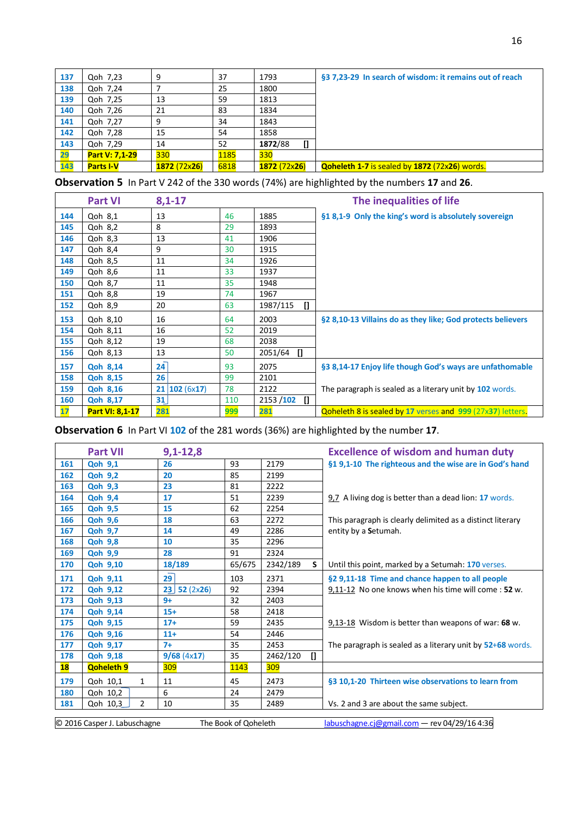| 137 | Qoh 7,23         | 9            | 37   | 1793         | §3 7,23-29 In search of wisdom: it remains out of reach |
|-----|------------------|--------------|------|--------------|---------------------------------------------------------|
| 138 | Qoh 7,24         |              | 25   | 1800         |                                                         |
| 139 | Qoh 7,25         | 13           | 59   | 1813         |                                                         |
| 140 | Qoh 7,26         | 21           | 83   | 1834         |                                                         |
| 141 | Qoh 7.27         | 9            | 34   | 1843         |                                                         |
| 142 | Qoh 7,28         | 15           | 54   | 1858         |                                                         |
| 143 | Qoh 7,29         | 14           | 52   | 1872/88<br>O |                                                         |
| 29  | Part V: 7,1-29   | 330          | 1185 | 330          |                                                         |
| 143 | <b>Parts I-V</b> | 1872 (72x26) | 6818 | 1872 (72x26) | <b>Qoheleth 1-7</b> is sealed by 1872 (72x26) words.    |

**Observation 5** In Part V 242 of the 330 words (74%) are highlighted by the numbers **17** and **26**.

|     | <b>Part VI</b>  | $8,1 - 17$   |     |                          | The inequalities of life                                          |
|-----|-----------------|--------------|-----|--------------------------|-------------------------------------------------------------------|
| 144 | Qoh 8,1         | 13           | 46  | 1885                     | §1 8,1-9 Only the king's word is absolutely sovereign             |
| 145 | Qoh 8,2         | 8            | 29  | 1893                     |                                                                   |
| 146 | Qoh 8,3         | 13           | 41  | 1906                     |                                                                   |
| 147 | Qoh 8,4         | 9            | 30  | 1915                     |                                                                   |
| 148 | Qoh 8,5         | 11           | 34  | 1926                     |                                                                   |
| 149 | Qoh 8,6         | 11           | 33  | 1937                     |                                                                   |
| 150 | Qoh 8,7         | 11           | 35  | 1948                     |                                                                   |
| 151 | Qoh 8,8         | 19           | 74  | 1967                     |                                                                   |
| 152 | Qoh 8,9         | 20           | 63  | 1987/115<br>$\mathbf{I}$ |                                                                   |
| 153 | Qoh 8,10        | 16           | 64  | 2003                     | §2 8,10-13 Villains do as they like; God protects believers       |
| 154 | Qoh 8,11        | 16           | 52  | 2019                     |                                                                   |
| 155 | Qoh 8,12        | 19           | 68  | 2038                     |                                                                   |
| 156 | Qoh 8,13        | 13           | 50  | $\Box$<br>2051/64        |                                                                   |
| 157 | <b>Qoh 8,14</b> | 24           | 93  | 2075                     | §3 8,14-17 Enjoy life though God's ways are unfathomable          |
| 158 | <b>Qoh 8,15</b> | 26           | 99  | 2101                     |                                                                   |
| 159 | Qoh 8,16        | 21 102(6x17) | 78  | 2122                     | The paragraph is sealed as a literary unit by 102 words.          |
| 160 | <b>Qoh 8,17</b> | 31           | 110 | $2153 / 102$ []          |                                                                   |
| 17  | Part VI: 8,1-17 | 281          | 999 | 281                      | <b>Qoheleth 8 is sealed by 17 verses and 999 (27x37) letters.</b> |

**Observation 6** In Part VI **102** of the 281 words (36%) are highlighted by the number **17**.

|                                                                                                      | <b>Part VII</b>            | $9,1 - 12,8$   |        |          |              | <b>Excellence of wisdom and human duty</b>                 |
|------------------------------------------------------------------------------------------------------|----------------------------|----------------|--------|----------|--------------|------------------------------------------------------------|
| 161                                                                                                  | <b>Qoh 9,1</b>             | 26             | 93     | 2179     |              | §1 9,1-10 The righteous and the wise are in God's hand     |
| 162                                                                                                  | <b>Qoh 9,2</b>             | 20             | 85     | 2199     |              |                                                            |
| 163                                                                                                  | <b>Qoh 9,3</b>             | 23             | 81     | 2222     |              |                                                            |
| 164                                                                                                  | <b>Qoh 9,4</b>             | 17             | 51     | 2239     |              | 9,7 A living dog is better than a dead lion: 17 words.     |
| 165                                                                                                  | <b>Qoh 9,5</b>             | 15             | 62     | 2254     |              |                                                            |
| 166                                                                                                  | <b>Qoh 9,6</b>             | 18             | 63     | 2272     |              | This paragraph is clearly delimited as a distinct literary |
| 167                                                                                                  | <b>Qoh 9,7</b>             | 14             | 49     | 2286     |              | entity by a Setumah.                                       |
| 168                                                                                                  | <b>Qoh 9,8</b>             | 10             | 35     | 2296     |              |                                                            |
| 169                                                                                                  | <b>Qoh 9,9</b>             | 28             | 91     | 2324     |              |                                                            |
| 170                                                                                                  | <b>Qoh 9,10</b>            | 18/189         | 65/675 | 2342/189 | S.           | Until this point, marked by a Setumah: 170 verses.         |
| 171                                                                                                  | <b>Qoh 9,11</b>            | 29             | 103    | 2371     |              | §2 9,11-18 Time and chance happen to all people            |
| 172                                                                                                  | <b>Qoh 9,12</b>            | 52(2x26)<br>23 | 92     | 2394     |              | 9,11-12 No one knows when his time will come: 52 w.        |
| 173                                                                                                  | <b>Qoh 9,13</b>            | $9+$           | 32     | 2403     |              |                                                            |
| 174                                                                                                  | <b>Qoh 9,14</b>            | $15+$          | 58     | 2418     |              |                                                            |
| 175                                                                                                  | <b>Qoh 9,15</b>            | $17+$          | 59     | 2435     |              | 9,13-18 Wisdom is better than weapons of war: 68 w.        |
| 176                                                                                                  | <b>Qoh 9,16</b>            | $11+$          | 54     | 2446     |              |                                                            |
| 177                                                                                                  | <b>Qoh 9,17</b>            | $7+$           | 35     | 2453     |              | The paragraph is sealed as a literary unit by 52+68 words. |
| 178                                                                                                  | <b>Qoh 9,18</b>            | 9/68(4x17)     | 35     | 2462/120 | $\mathbf{u}$ |                                                            |
| <b>18</b>                                                                                            | <b>Qoheleth 9</b>          | 309            | 1143   | 309      |              |                                                            |
| 179                                                                                                  | Qoh 10,1<br>$\mathbf{1}$   | 11             | 45     | 2473     |              | §3 10,1-20 Thirteen wise observations to learn from        |
| 180                                                                                                  | Qoh 10,2                   | 6              | 24     | 2479     |              |                                                            |
| 181                                                                                                  | $\overline{2}$<br>Qoh 10,3 | 10             | 35     | 2489     |              | Vs. 2 and 3 are about the same subject.                    |
| © 2016 Casper J. Labuschagne<br>labuschagne.cj@gmail.com - rev 04/29/16 4:36<br>The Book of Qoheleth |                            |                |        |          |              |                                                            |